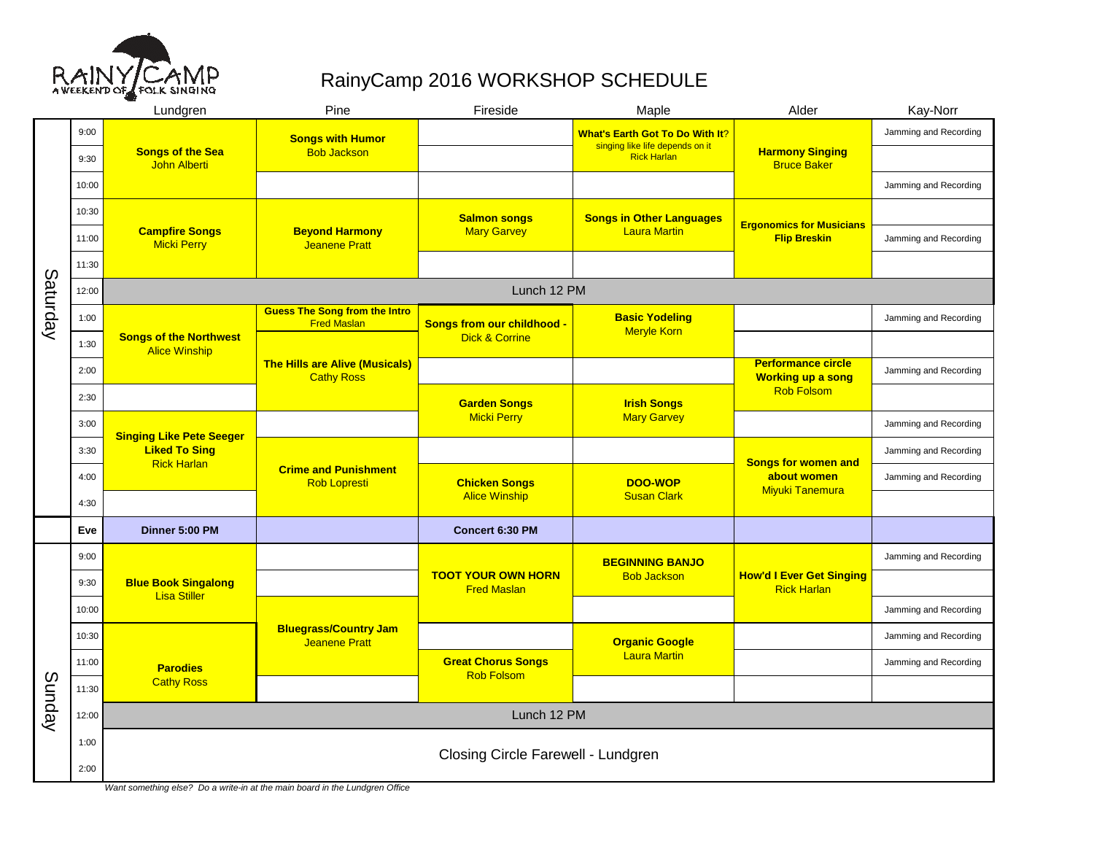

## RainyCamp 2016 WORKSHOP SCHEDULE

|          |       | Lundgren                                              | Pine                                                       | Fireside                                        | Maple                                                                     | Alder                                                  | Kay-Norr              |  |  |  |  |  |
|----------|-------|-------------------------------------------------------|------------------------------------------------------------|-------------------------------------------------|---------------------------------------------------------------------------|--------------------------------------------------------|-----------------------|--|--|--|--|--|
| Saturday | 9:00  |                                                       | <b>Songs with Humor</b><br><b>Bob Jackson</b>              |                                                 | <b>What's Earth Got To Do With It?</b><br>singing like life depends on it |                                                        | Jamming and Recording |  |  |  |  |  |
|          | 9:30  | <b>Songs of the Sea</b><br>John Alberti               |                                                            | <b>Rick Harlan</b>                              |                                                                           | <b>Harmony Singing</b><br><b>Bruce Baker</b>           |                       |  |  |  |  |  |
|          | 10:00 |                                                       |                                                            |                                                 |                                                                           |                                                        | Jamming and Recording |  |  |  |  |  |
|          | 10:30 |                                                       | <b>Beyond Harmony</b><br><b>Jeanene Pratt</b>              | <b>Salmon songs</b><br><b>Mary Garvey</b>       | <b>Songs in Other Languages</b><br><b>Laura Martin</b>                    | <b>Ergonomics for Musicians</b><br><b>Flip Breskin</b> |                       |  |  |  |  |  |
|          | 11:00 | <b>Campfire Songs</b><br><b>Micki Perry</b>           |                                                            |                                                 |                                                                           |                                                        | Jamming and Recording |  |  |  |  |  |
|          | 11:30 |                                                       |                                                            |                                                 |                                                                           |                                                        |                       |  |  |  |  |  |
|          | 12:00 | Lunch 12 PM                                           |                                                            |                                                 |                                                                           |                                                        |                       |  |  |  |  |  |
|          | 1:00  |                                                       | <b>Guess The Song from the Intro</b><br><b>Fred Maslan</b> | Songs from our childhood -                      | <b>Basic Yodeling</b><br><b>Meryle Korn</b>                               |                                                        | Jamming and Recording |  |  |  |  |  |
|          | 1:30  | <b>Songs of the Northwest</b><br><b>Alice Winship</b> | <b>The Hills are Alive (Musicals)</b><br><b>Cathy Ross</b> | <b>Dick &amp; Corrine</b>                       |                                                                           |                                                        |                       |  |  |  |  |  |
|          | 2:00  |                                                       |                                                            |                                                 |                                                                           | <b>Performance circle</b><br><b>Working up a song</b>  | Jamming and Recording |  |  |  |  |  |
|          | 2:30  |                                                       |                                                            | <b>Garden Songs</b>                             | <b>Irish Songs</b><br><b>Mary Garvey</b>                                  | <b>Rob Folsom</b>                                      |                       |  |  |  |  |  |
|          | 3:00  | <b>Singing Like Pete Seeger</b>                       |                                                            | <b>Micki Perry</b>                              |                                                                           |                                                        | Jamming and Recording |  |  |  |  |  |
|          | 3:30  | <b>Liked To Sing</b><br><b>Rick Harlan</b>            | <b>Crime and Punishment</b><br><b>Rob Lopresti</b>         |                                                 |                                                                           | <b>Songs for women and</b>                             | Jamming and Recording |  |  |  |  |  |
|          | 4:00  |                                                       |                                                            | <b>Chicken Songs</b><br><b>Alice Winship</b>    | DOO-WOP<br><b>Susan Clark</b>                                             | about women<br><b>Miyuki Tanemura</b>                  | Jamming and Recording |  |  |  |  |  |
|          | 4:30  |                                                       |                                                            |                                                 |                                                                           |                                                        |                       |  |  |  |  |  |
|          | Eve   | Dinner 5:00 PM                                        |                                                            | Concert 6:30 PM                                 |                                                                           |                                                        |                       |  |  |  |  |  |
| Sunday   | 9:00  |                                                       |                                                            | <b>TOOT YOUR OWN HORN</b><br><b>Fred Maslan</b> | <b>BEGINNING BANJO</b><br><b>Bob Jackson</b>                              | <b>How'd I Ever Get Singing</b><br><b>Rick Harlan</b>  | Jamming and Recording |  |  |  |  |  |
|          | 9:30  | <b>Blue Book Singalong</b><br><b>Lisa Stiller</b>     |                                                            |                                                 |                                                                           |                                                        |                       |  |  |  |  |  |
|          | 10:00 |                                                       | <b>Bluegrass/Country Jam</b><br><b>Jeanene Pratt</b>       |                                                 |                                                                           |                                                        | Jamming and Recording |  |  |  |  |  |
|          | 10:30 |                                                       |                                                            |                                                 | <b>Organic Google</b><br><b>Laura Martin</b>                              |                                                        | Jamming and Recording |  |  |  |  |  |
|          | 11:00 | <b>Parodies</b>                                       |                                                            | <b>Great Chorus Songs</b><br><b>Rob Folsom</b>  |                                                                           |                                                        | Jamming and Recording |  |  |  |  |  |
|          | 11:30 | <b>Cathy Ross</b>                                     |                                                            |                                                 |                                                                           |                                                        |                       |  |  |  |  |  |
|          | 12:00 | Lunch 12 PM                                           |                                                            |                                                 |                                                                           |                                                        |                       |  |  |  |  |  |
|          | 1:00  | Closing Circle Farewell - Lundgren                    |                                                            |                                                 |                                                                           |                                                        |                       |  |  |  |  |  |
|          | 2:00  |                                                       |                                                            |                                                 |                                                                           |                                                        |                       |  |  |  |  |  |

Want something else? Do a write-in at the main board in the Lundgren Office